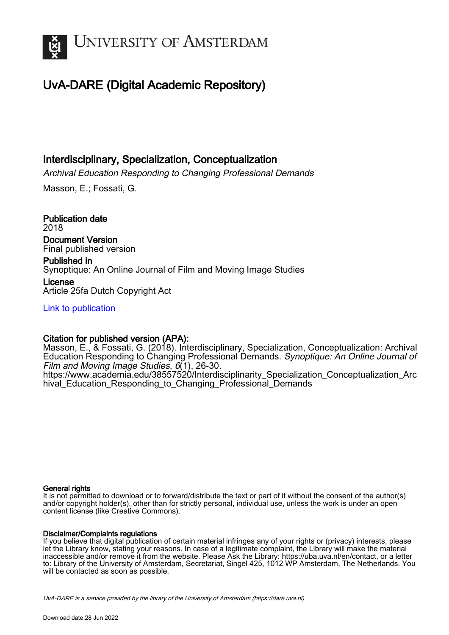

# UvA-DARE (Digital Academic Repository)

## Interdisciplinary, Specialization, Conceptualization

Archival Education Responding to Changing Professional Demands

Masson, E.; Fossati, G.

Publication date 2018 Document Version

Final published version

Published in Synoptique: An Online Journal of Film and Moving Image Studies

License Article 25fa Dutch Copyright Act

[Link to publication](https://dare.uva.nl/personal/pure/en/publications/interdisciplinary-specialization-conceptualization(74ecb3f0-a4b8-4977-9b93-786a3c8bd767).html)

### Citation for published version (APA):

Masson, E., & Fossati, G. (2018). Interdisciplinary, Specialization, Conceptualization: Archival Education Responding to Changing Professional Demands. Synoptique: An Online Journal of Film and Moving Image Studies, 6(1), 26-30. [https://www.academia.edu/38557520/Interdisciplinarity\\_Specialization\\_Conceptualization\\_Arc](https://www.academia.edu/38557520/Interdisciplinarity_Specialization_Conceptualization_Archival_Education_Responding_to_Changing_Professional_Demands) hival Education Responding to Changing Professional Demands

#### General rights

It is not permitted to download or to forward/distribute the text or part of it without the consent of the author(s) and/or copyright holder(s), other than for strictly personal, individual use, unless the work is under an open content license (like Creative Commons).

#### Disclaimer/Complaints regulations

If you believe that digital publication of certain material infringes any of your rights or (privacy) interests, please let the Library know, stating your reasons. In case of a legitimate complaint, the Library will make the material inaccessible and/or remove it from the website. Please Ask the Library: https://uba.uva.nl/en/contact, or a letter to: Library of the University of Amsterdam, Secretariat, Singel 425, 1012 WP Amsterdam, The Netherlands. You will be contacted as soon as possible.

UvA-DARE is a service provided by the library of the University of Amsterdam (http*s*://dare.uva.nl)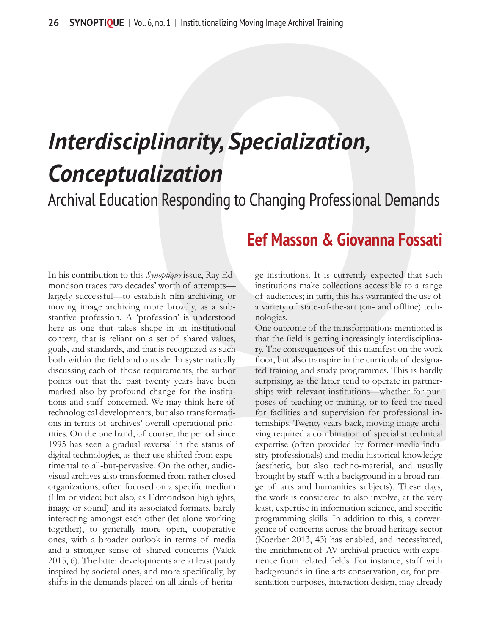# *Interdisciplinarity, Specialization, Conceptualization*

Archival Education Responding to Changing Professional Demands

# **Eef Masson & Giovanna Fossati**

In his contribution to this *Synoptique* issue, Ray Edmondson traces two decades' worth of attempts largely successful—to establish film archiving, or moving image archiving more broadly, as a substantive profession. A 'profession' is understood here as one that takes shape in an institutional context, that is reliant on a set of shared values, goals, and standards, and that is recognized as such both within the field and outside. In systematically discussing each of those requirements, the author points out that the past twenty years have been marked also by profound change for the institutions and staff concerned. We may think here of technological developments, but also transformations in terms of archives' overall operational priorities. On the one hand, of course, the period since 1995 has seen a gradual reversal in the status of digital technologies, as their use shifted from experimental to all-but-pervasive. On the other, audiovisual archives also transformed from rather closed organizations, often focused on a specific medium (film or video; but also, as Edmondson highlights, image or sound) and its associated formats, barely interacting amongst each other (let alone working together), to generally more open, cooperative ones, with a broader outlook in terms of media and a stronger sense of shared concerns (Valck 2015, 6). The latter developments are at least partly inspired by societal ones, and more specifically, by shifts in the demands placed on all kinds of heritage institutions. It is currently expected that such institutions make collections accessible to a range of audiences; in turn, this has warranted the use of a variety of state-of-the-art (on- and offline) technologies.

One outcome of the transformations mentioned is that the field is getting increasingly interdisciplinary. The consequences of this manifest on the work floor, but also transpire in the curricula of designated training and study programmes. This is hardly surprising, as the latter tend to operate in partnerships with relevant institutions—whether for purposes of teaching or training, or to feed the need for facilities and supervision for professional internships. Twenty years back, moving image archiving required a combination of specialist technical expertise (often provided by former media industry professionals) and media historical knowledge (aesthetic, but also techno-material, and usually brought by staff with a background in a broad range of arts and humanities subjects). These days, the work is considered to also involve, at the very least, expertise in information science, and specific programming skills. In addition to this, a convergence of concerns across the broad heritage sector (Koerber 2013, 43) has enabled, and necessitated, the enrichment of AV archival practice with experience from related fields. For instance, staff with backgrounds in fine arts conservation, or, for presentation purposes, interaction design, may already L6, no. 1 | Institutionalizing Moving Image Archival Training<br> **QLindity, Specialization,**<br> **QLindity, Specialization,**<br> **QCINCITY,**<br> **QCINCITY,**<br> **CONSECT MASSON & GIOVANNA FOSSA**<br>
Symphique issue, Ray Ed-<br>
For Masson & G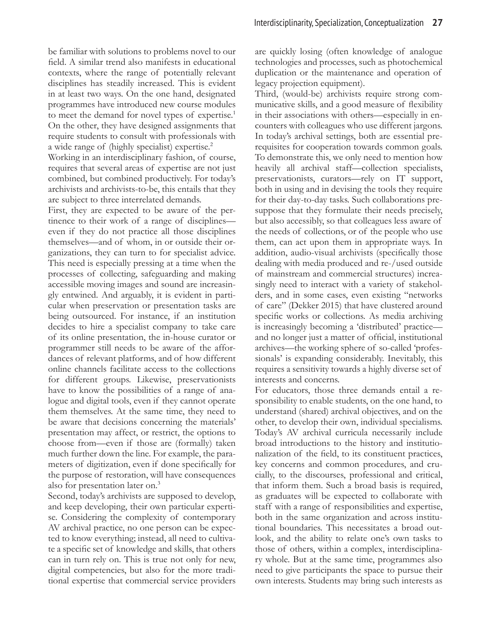be familiar with solutions to problems novel to our field. A similar trend also manifests in educational contexts, where the range of potentially relevant disciplines has steadily increased. This is evident in at least two ways. On the one hand, designated programmes have introduced new course modules to meet the demand for novel types of expertise.<sup>1</sup> On the other, they have designed assignments that require students to consult with professionals with a wide range of (highly specialist) expertise.2

Working in an interdisciplinary fashion, of course, requires that several areas of expertise are not just combined, but combined productively. For today's archivists and archivists-to-be, this entails that they are subject to three interrelated demands.

First, they are expected to be aware of the pertinence to their work of a range of disciplines even if they do not practice all those disciplines themselves—and of whom, in or outside their organizations, they can turn to for specialist advice. This need is especially pressing at a time when the processes of collecting, safeguarding and making accessible moving images and sound are increasingly entwined. And arguably, it is evident in particular when preservation or presentation tasks are being outsourced. For instance, if an institution decides to hire a specialist company to take care of its online presentation, the in-house curator or programmer still needs to be aware of the affordances of relevant platforms, and of how different online channels facilitate access to the collections for different groups. Likewise, preservationists have to know the possibilities of a range of analogue and digital tools, even if they cannot operate them themselves. At the same time, they need to be aware that decisions concerning the materials' presentation may affect, or restrict, the options to choose from—even if those are (formally) taken much further down the line. For example, the parameters of digitization, even if done specifically for the purpose of restoration, will have consequences also for presentation later on.<sup>3</sup>

Second, today's archivists are supposed to develop, and keep developing, their own particular expertise. Considering the complexity of contemporary AV archival practice, no one person can be expected to know everything; instead, all need to cultivate a specific set of knowledge and skills, that others can in turn rely on. This is true not only for new, digital competencies, but also for the more traditional expertise that commercial service providers

are quickly losing (often knowledge of analogue technologies and processes, such as photochemical duplication or the maintenance and operation of legacy projection equipment).

Third, (would-be) archivists require strong communicative skills, and a good measure of flexibility in their associations with others—especially in encounters with colleagues who use different jargons. In today's archival settings, both are essential prerequisites for cooperation towards common goals. To demonstrate this, we only need to mention how heavily all archival staff—collection specialists, preservationists, curators—rely on IT support, both in using and in devising the tools they require for their day-to-day tasks. Such collaborations presuppose that they formulate their needs precisely, but also accessibly, so that colleagues less aware of the needs of collections, or of the people who use them, can act upon them in appropriate ways. In addition, audio-visual archivists (specifically those dealing with media produced and re-/used outside of mainstream and commercial structures) increasingly need to interact with a variety of stakeholders, and in some cases, even existing "networks of care" (Dekker 2015) that have clustered around specific works or collections. As media archiving is increasingly becoming a 'distributed' practice and no longer just a matter of official, institutional archives—the working sphere of so-called 'professionals' is expanding considerably. Inevitably, this requires a sensitivity towards a highly diverse set of interests and concerns.

For educators, those three demands entail a responsibility to enable students, on the one hand, to understand (shared) archival objectives, and on the other, to develop their own, individual specialisms. Today's AV archival curricula necessarily include broad introductions to the history and institutionalization of the field, to its constituent practices, key concerns and common procedures, and crucially, to the discourses, professional and critical, that inform them. Such a broad basis is required, as graduates will be expected to collaborate with staff with a range of responsibilities and expertise, both in the same organization and across institutional boundaries. This necessitates a broad outlook, and the ability to relate one's own tasks to those of others, within a complex, interdisciplinary whole. But at the same time, programmes also need to give participants the space to pursue their own interests. Students may bring such interests as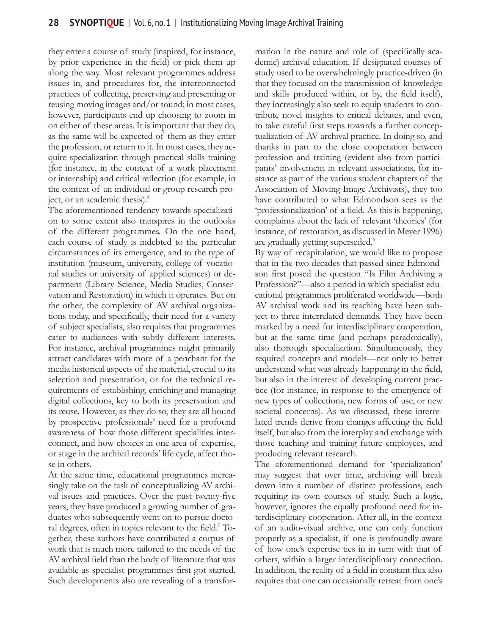they enter a course of study (inspired, for instance, by prior experience in the field) or pick them up along the way. Most relevant programmes address issues in, and procedures for, the interconnected practices of collecting, preserving and presenting or reusing moving images and/or sound; in most cases, however, participants end up choosing to zoom in on either of these areas. It is important that they do, as the same will be expected of them as they enter the profession, or return to it. In most cases, they acquire specialization through practical skills training (for instance, in the context of a work placement or internship) and critical reflection (for example, in the context of an individual or group research project, or an academic thesis).4

The aforementioned tendency towards specialization to some extent also transpires in the outlooks of the different programmes. On the one hand, each course of study is indebted to the particular circumstances of its emergence, and to the type of institution (museum, university, college of vocational studies or university of applied sciences) or department (Library Science, Media Studies, Conservation and Restoration) in which it operates. But on the other, the complexity of AV archival organizations today, and specifically, their need for a variety of subject specialists, also requires that programmes cater to audiences with subtly different interests. For instance, archival programmes might primarily attract candidates with more of a penchant for the media historical aspects of the material, crucial to its selection and presentation, or for the technical requirements of establishing, enriching and managing digital collections, key to both its preservation and its reuse. However, as they do so, they are all bound by prospective professionals' need for a profound awareness of how those different specialities interconnect, and how choices in one area of expertise, or stage in the archival records' life cycle, affect those in others.

At the same time, educational programmes increasingly take on the task of conceptualizing AV archival issues and practices. Over the past twenty-five years, they have produced a growing number of graduates who subsequently went on to pursue doctoral degrees, often in topics relevant to the field.<sup>5</sup> Together, these authors have contributed a corpus of work that is much more tailored to the needs of the AV archival field than the body of literature that was available as specialist programmes first got started. Such developments also are revealing of a transformation in the nature and role of (specifically academic) archival education. If designated courses of study used to be overwhelmingly practice-driven (in that they focused on the transmission of knowledge and skills produced within, or by, the field itself), they increasingly also seek to equip students to contribute novel insights to critical debates, and even, to take careful first steps towards a further conceptualization of AV archival practice. In doing so, and thanks in part to the close cooperation between profession and training (evident also from participants' involvement in relevant associations, for instance as part of the various student chapters of the Association of Moving Image Archivists), they too have contributed to what Edmondson sees as the 'professionalization' of a field. As this is happening, complaints about the lack of relevant 'theories' (for instance, of restoration, as discussed in Meyer 1996) are gradually getting superseded.<sup>6</sup>

By way of recapitulation, we would like to propose that in the two decades that passed since Edmondson first posed the question "Is Film Archiving a Profession?"—also a period in which specialist educational programmes proliferated worldwide—both AV archival work and its teaching have been subject to three interrelated demands. They have been marked by a need for interdisciplinary cooperation, but at the same time (and perhaps paradoxically), also thorough specialization. Simultaneously, they required concepts and models—not only to better understand what was already happening in the field, but also in the interest of developing current practice (for instance, in response to the emergence of new types of collections, new forms of use, or new societal concerns). As we discussed, these interrelated trends derive from changes affecting the field itself, but also from the interplay and exchange with those teaching and training future employees, and producing relevant research.

The aforementioned demand for 'specialization' may suggest that over time, archiving will break down into a number of distinct professions, each requiring its own courses of study. Such a logic, however, ignores the equally profound need for interdisciplinary cooperation. After all, in the context of an audio-visual archive, one can only function properly as a specialist, if one is profoundly aware of how one's expertise ties in in turn with that of others, within a larger interdisciplinary connection. In addition, the reality of a field in constant flux also requires that one can occasionally retreat from one's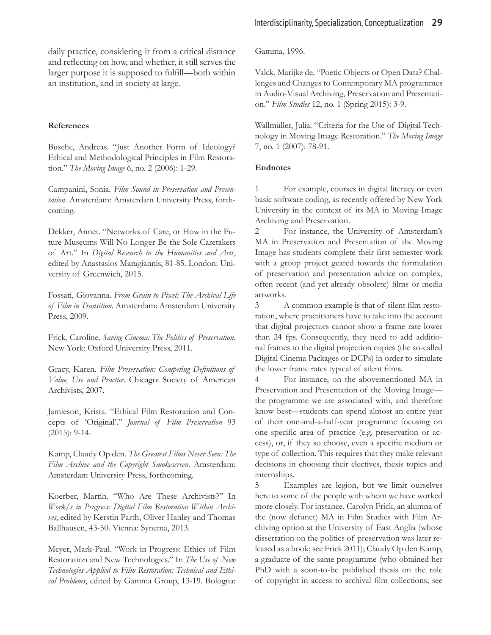daily practice, considering it from a critical distance and reflecting on how, and whether, it still serves the larger purpose it is supposed to fulfill—both within an institution, and in society at large.

#### **References**

Busche, Andreas. "Just Another Form of Ideology? Ethical and Methodological Principles in Film Restoration." *The Moving Image* 6, no. 2 (2006): 1-29.

Campanini, Sonia. *Film Sound in Preservation and Presentation*. Amsterdam: Amsterdam University Press, forthcoming.

Dekker, Annet. "Networks of Care, or How in the Future Museums Will No Longer Be the Sole Caretakers of Art." In *Digital Research in the Humanities and Arts*, edited by Anastasios Maragiannis, 81-85. London: University of Greenwich, 2015.

Fossati, Giovanna. *From Grain to Pixel: The Archival Life of Film in Transition*. Amsterdam: Amsterdam University Press, 2009.

Frick, Caroline. *Saving Cinema: The Politics of Preservation*. New York: Oxford University Press, 2011.

Gracy, Karen. *Film Preservation: Competing Definitions of Value, Use and Practice*. Chicago: Society of American Archivists, 2007.

Jamieson, Krista. "Ethical Film Restoration and Concepts of 'Original'." *Journal of Film Preservation* 93 (2015): 9-14.

Kamp, Claudy Op den. *The Greatest Films Never Seen: The Film Archive and the Copyright Smokescreen*. Amsterdam: Amsterdam University Press, forthcoming.

Koerber, Martin. "Who Are These Archivists?" In *Work/s in Progress: Digital Film Restoration Within Archives*, edited by Kerstin Parth, Oliver Hanley and Thomas Ballhausen, 43-50. Vienna: Synema, 2013.

Meyer, Mark-Paul. "Work in Progress: Ethics of Film Restoration and New Technologies." In *The Use of New Technologies Applied to Film Restoration: Technical and Ethical Problems*, edited by Gamma Group, 13-19. Bologna:

Gamma, 1996.

Valck, Marijke de. "Poetic Objects or Open Data? Challenges and Changes to Contemporary MA programmes in Audio-Visual Archiving, Preservation and Presentation." *Film Studies* 12, no. 1 (Spring 2015): 3-9.

Wallmüller, Julia. "Criteria for the Use of Digital Technology in Moving Image Restoration." *The Moving Image* 7, no. 1 (2007): 78-91.

#### **Endnotes**

1 For example, courses in digital literacy or even basic software coding, as recently offered by New York University in the context of its MA in Moving Image Archiving and Preservation.

2 For instance, the University of Amsterdam's MA in Preservation and Presentation of the Moving Image has students complete their first semester work with a group project geared towards the formulation of preservation and presentation advice on complex, often recent (and yet already obsolete) films or media artworks.

3 A common example is that of silent film restoration, where practitioners have to take into the account that digital projectors cannot show a frame rate lower than 24 fps. Consequently, they need to add additional frames to the digital projection copies (the so-called Digital Cinema Packages or DCPs) in order to simulate the lower frame rates typical of silent films.

4 For instance, on the abovementioned MA in Preservation and Presentation of the Moving Image the programme we are associated with, and therefore know best—students can spend almost an entire year of their one-and-a-half-year programme focusing on one specific area of practice (e.g. preservation or access), or, if they so choose, even a specific medium or type of collection. This requires that they make relevant decisions in choosing their electives, thesis topics and internships.

5 Examples are legion, but we limit ourselves here to some of the people with whom we have worked more closely. For instance, Carolyn Frick, an alumna of the (now defunct) MA in Film Studies with Film Archiving option at the University of East Anglia (whose dissertation on the politics of preservation was later released as a book; see Frick 2011); Claudy Op den Kamp, a graduate of the same programme (who obtained her PhD with a soon-to-be published thesis on the role of copyright in access to archival film collections; see